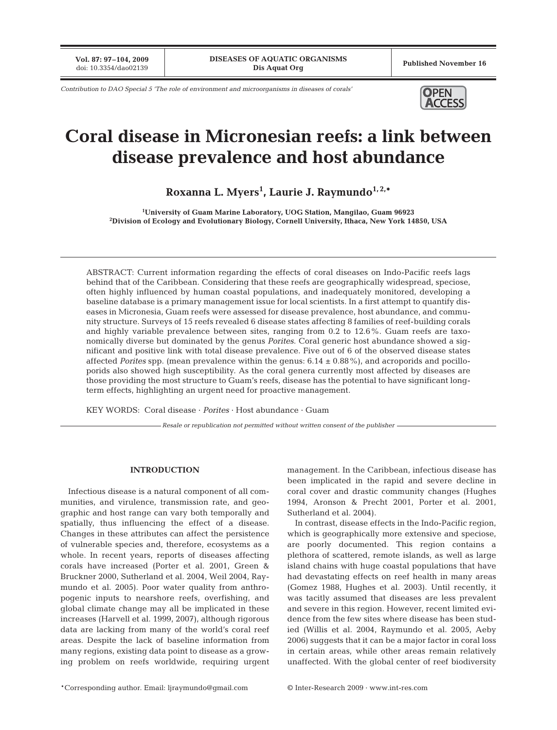**Vol. 87: 97–104, 2009**

*Contribution to DAO Special 5 'The role of environment and microorganisms in diseases of corals'* **OPEN** 



# **Coral disease in Micronesian reefs: a link between disease prevalence and host abundance**

**Roxanna L. Myers1 , Laurie J. Raymundo1, 2,\***

**1 University of Guam Marine Laboratory, UOG Station, Mangilao, Guam 96923 2 Division of Ecology and Evolutionary Biology, Cornell University, Ithaca, New York 14850, USA**

ABSTRACT: Current information regarding the effects of coral diseases on Indo-Pacific reefs lags behind that of the Caribbean. Considering that these reefs are geographically widespread, speciose, often highly influenced by human coastal populations, and inadequately monitored, developing a baseline database is a primary management issue for local scientists. In a first attempt to quantify diseases in Micronesia, Guam reefs were assessed for disease prevalence, host abundance, and community structure. Surveys of 15 reefs revealed 6 disease states affecting 8 families of reef-building corals and highly variable prevalence between sites, ranging from 0.2 to 12.6%. Guam reefs are taxonomically diverse but dominated by the genus *Porites*. Coral generic host abundance showed a significant and positive link with total disease prevalence. Five out of 6 of the observed disease states affected *Porites* spp. (mean prevalence within the genus:  $6.14 \pm 0.88\%$ ), and acroporids and pocilloporids also showed high susceptibility. As the coral genera currently most affected by diseases are those providing the most structure to Guam's reefs, disease has the potential to have significant longterm effects, highlighting an urgent need for proactive management.

KEY WORDS: Coral disease · *Porites* · Host abundance · Guam

*Resale or republication not permitted without written consent of the publisher*

# **INTRODUCTION**

Infectious disease is a natural component of all communities, and virulence, transmission rate, and geographic and host range can vary both temporally and spatially, thus influencing the effect of a disease. Changes in these attributes can affect the persistence of vulnerable species and, therefore, ecosystems as a whole. In recent years, reports of diseases affecting corals have increased (Porter et al. 2001, Green & Bruckner 2000, Sutherland et al. 2004, Weil 2004, Raymundo et al. 2005). Poor water quality from anthropogenic inputs to nearshore reefs, overfishing, and global climate change may all be implicated in these increases (Harvell et al. 1999, 2007), although rigorous data are lacking from many of the world's coral reef areas. Despite the lack of baseline information from many regions, existing data point to disease as a growing problem on reefs worldwide, requiring urgent

management. In the Caribbean, infectious disease has been implicated in the rapid and severe decline in coral cover and drastic community changes (Hughes 1994, Aronson & Precht 2001, Porter et al. 2001, Sutherland et al. 2004).

In contrast, disease effects in the Indo-Pacific region, which is geographically more extensive and speciose, are poorly documented. This region contains a plethora of scattered, remote islands, as well as large island chains with huge coastal populations that have had devastating effects on reef health in many areas (Gomez 1988, Hughes et al. 2003). Until recently, it was tacitly assumed that diseases are less prevalent and severe in this region. However, recent limited evidence from the few sites where disease has been studied (Willis et al. 2004, Raymundo et al. 2005, Aeby 2006) suggests that it can be a major factor in coral loss in certain areas, while other areas remain relatively unaffected. With the global center of reef biodiversity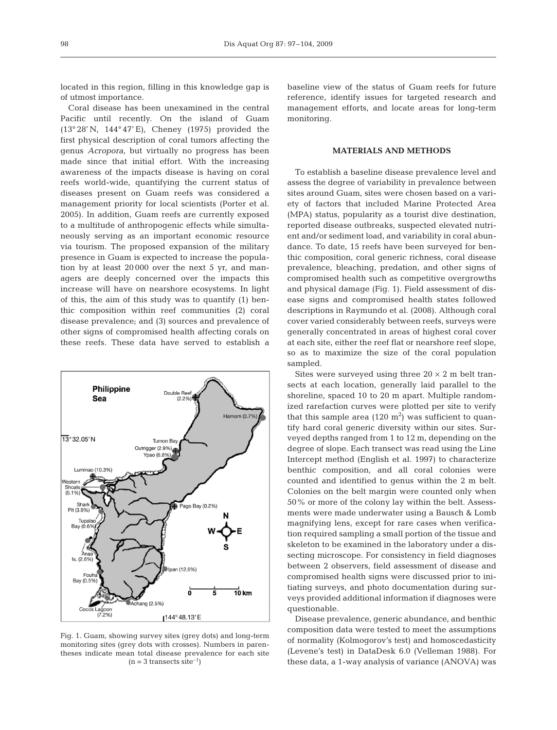located in this region, filling in this knowledge gap is of utmost importance.

Coral disease has been unexamined in the central Pacific until recently. On the island of Guam (13° 28' N, 144° 47' E), Cheney (1975) provided the first physical description of coral tumors affecting the genus *Acropora,* but virtually no progress has been made since that initial effort. With the increasing awareness of the impacts disease is having on coral reefs world-wide, quantifying the current status of diseases present on Guam reefs was considered a management priority for local scientists (Porter et al. 2005). In addition, Guam reefs are currently exposed to a multitude of anthropogenic effects while simultaneously serving as an important economic resource via tourism. The proposed expansion of the military presence in Guam is expected to increase the population by at least 20 000 over the next 5 yr, and managers are deeply concerned over the impacts this increase will have on nearshore ecosystems. In light of this, the aim of this study was to quantify (1) benthic composition within reef communities (2) coral disease prevalence; and (3) sources and prevalence of other signs of compromised health affecting corals on these reefs. These data have served to establish a



Fig. 1. Guam, showing survey sites (grey dots) and long-term monitoring sites (grey dots with crosses). Numbers in parentheses indicate mean total disease prevalence for each site  $(n = 3$  transects site<sup>-1</sup>)

baseline view of the status of Guam reefs for future reference, identify issues for targeted research and management efforts, and locate areas for long-term monitoring.

# **MATERIALS AND METHODS**

To establish a baseline disease prevalence level and assess the degree of variability in prevalence between sites around Guam, sites were chosen based on a variety of factors that included Marine Protected Area (MPA) status, popularity as a tourist dive destination, reported disease outbreaks, suspected elevated nutrient and/or sediment load, and variability in coral abundance. To date, 15 reefs have been surveyed for benthic composition, coral generic richness, coral disease prevalence, bleaching, predation, and other signs of compromised health such as competitive overgrowths and physical damage (Fig. 1). Field assessment of disease signs and compromised health states followed descriptions in Raymundo et al. (2008). Although coral cover varied considerably between reefs, surveys were generally concentrated in areas of highest coral cover at each site, either the reef flat or nearshore reef slope, so as to maximize the size of the coral population sampled.

Sites were surveyed using three  $20 \times 2$  m belt transects at each location, generally laid parallel to the shoreline, spaced 10 to 20 m apart. Multiple randomized rarefaction curves were plotted per site to verify that this sample area  $(120 \text{ m}^2)$  was sufficient to quantify hard coral generic diversity within our sites. Surveyed depths ranged from 1 to 12 m, depending on the degree of slope. Each transect was read using the Line Intercept method (English et al. 1997) to characterize benthic composition, and all coral colonies were counted and identified to genus within the 2 m belt. Colonies on the belt margin were counted only when 50% or more of the colony lay within the belt. Assessments were made underwater using a Bausch & Lomb magnifying lens, except for rare cases when verification required sampling a small portion of the tissue and skeleton to be examined in the laboratory under a dissecting microscope. For consistency in field diagnoses between 2 observers, field assessment of disease and compromised health signs were discussed prior to initiating surveys, and photo documentation during surveys provided additional information if diagnoses were questionable.

Disease prevalence, generic abundance, and benthic composition data were tested to meet the assumptions of normality (Kolmogorov's test) and homoscedasticity (Levene's test) in DataDesk 6.0 (Velleman 1988). For these data, a 1-way analysis of variance (ANOVA) was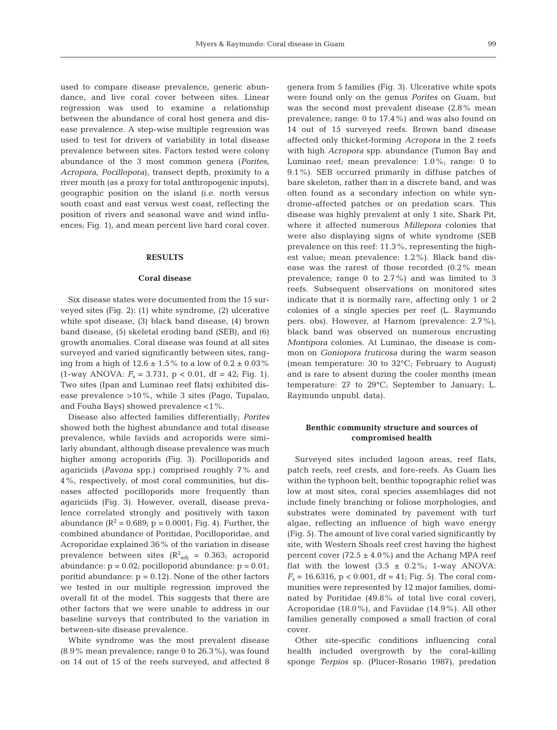used to compare disease prevalence, generic abundance, and live coral cover between sites. Linear regression was used to examine a relationship between the abundance of coral host genera and disease prevalence. A step-wise multiple regression was used to test for drivers of variability in total disease prevalence between sites. Factors tested were colony abundance of the 3 most common genera (*Porites, Acropora, Pocillopora*), transect depth, proximity to a river mouth (as a proxy for total anthropogenic inputs), geographic position on the island (i.e. north versus south coast and east versus west coast, reflecting the position of rivers and seasonal wave and wind influences; Fig. 1), and mean percent live hard coral cover.

#### **RESULTS**

#### **Coral disease**

Six disease states were documented from the 15 surveyed sites (Fig. 2): (1) white syndrome, (2) ulcerative white spot disease, (3) black band disease, (4) brown band disease, (5) skeletal eroding band (SEB), and (6) growth anomalies. Coral disease was found at all sites surveyed and varied significantly between sites, ranging from a high of  $12.6 \pm 1.5\%$  to a low of  $0.2 \pm 0.03\%$  $(1$ -way ANOVA:  $F_s = 3.731$ ,  $p < 0.01$ , df = 42; Fig. 1). Two sites (Ipan and Luminao reef flats) exhibited disease prevalence >10%, while 3 sites (Pago, Tupalao, and Fouha Bays) showed prevalence <1%.

Disease also affected families differentially; *Porites* showed both the highest abundance and total disease prevalence, while faviids and acroporids were similarly abundant, although disease prevalence was much higher among acroporids (Fig. 3). Pocilloporids and agariciids (*Pavona* spp.) comprised roughly 7% and 4%, respectively, of most coral communities, but diseases affected pocilloporids more frequently than agariciids (Fig. 3). However, overall, disease prevalence correlated strongly and positively with taxon abundance ( $R^2 = 0.689$ ;  $p = 0.0001$ ; Fig. 4). Further, the combined abundance of Poritidae, Pocilloporidae, and Acroporidae explained 36% of the variation in disease prevalence between sites ( $R^2_{adj}$  = 0.363; acroporid abundance:  $p = 0.02$ ; pocilloporid abundance:  $p = 0.01$ ; poritid abundance:  $p = 0.12$ ). None of the other factors we tested in our multiple regression improved the overall fit of the model. This suggests that there are other factors that we were unable to address in our baseline surveys that contributed to the variation in between-site disease prevalence.

White syndrome was the most prevalent disease (8.9% mean prevalence; range 0 to 26.3%), was found on 14 out of 15 of the reefs surveyed, and affected 8 genera from 5 families (Fig. 3). Ulcerative white spots were found only on the genus *Porites* on Guam, but was the second most prevalent disease (2.8% mean prevalence; range: 0 to 17.4%) and was also found on 14 out of 15 surveyed reefs. Brown band disease affected only thicket-forming *Acropora* in the 2 reefs with high *Acropora* spp. abundance (Tumon Bay and Luminao reef; mean prevalence: 1.0%; range: 0 to 9.1%). SEB occurred primarily in diffuse patches of bare skeleton, rather than in a discrete band, and was often found as a secondary infection on white syndrome-affected patches or on predation scars. This disease was highly prevalent at only 1 site, Shark Pit, where it affected numerous *Millepora* colonies that were also displaying signs of white syndrome (SEB prevalence on this reef: 11.3%, representing the highest value; mean prevalence: 1.2%). Black band disease was the rarest of those recorded (0.2% mean prevalence; range 0 to 2.7%) and was limited to 3 reefs. Subsequent observations on monitored sites indicate that it is normally rare, affecting only 1 or 2 colonies of a single species per reef (L. Raymundo pers. obs). However, at Harnom (prevalence: 2.7%), black band was observed on numerous encrusting *Montipora* colonies. At Luminao, the disease is common on *Goniopora fruticosa* during the warm season (mean temperature: 30 to 32°C; February to August) and is rare to absent during the cooler months (mean temperature: 27 to 29°C; September to January; L. Raymundo unpubl. data).

# **Benthic community structure and sources of compromised health**

Surveyed sites included lagoon areas, reef flats, patch reefs, reef crests, and fore-reefs. As Guam lies within the typhoon belt, benthic topographic relief was low at most sites, coral species assemblages did not include finely branching or foliose morphologies, and substrates were dominated by pavement with turf algae, reflecting an influence of high wave energy (Fig. 5). The amount of live coral varied significantly by site, with Western Shoals reef crest having the highest percent cover  $(72.5 \pm 4.0\%)$  and the Achang MPA reef flat with the lowest  $(3.5 \pm 0.2\%; 1\text{-way ANOVA})$ :  $F_s = 16.6316$ ,  $p < 0.001$ , df = 41; Fig. 5). The coral communities were represented by 12 major families, dominated by Poritidae (49.8% of total live coral cover), Acroporidae (18.0%), and Faviidae (14.9%). All other families generally composed a small fraction of coral cover.

Other site-specific conditions influencing coral health included overgrowth by the coral-killing sponge *Terpios* sp. (Plucer-Rosario 1987), predation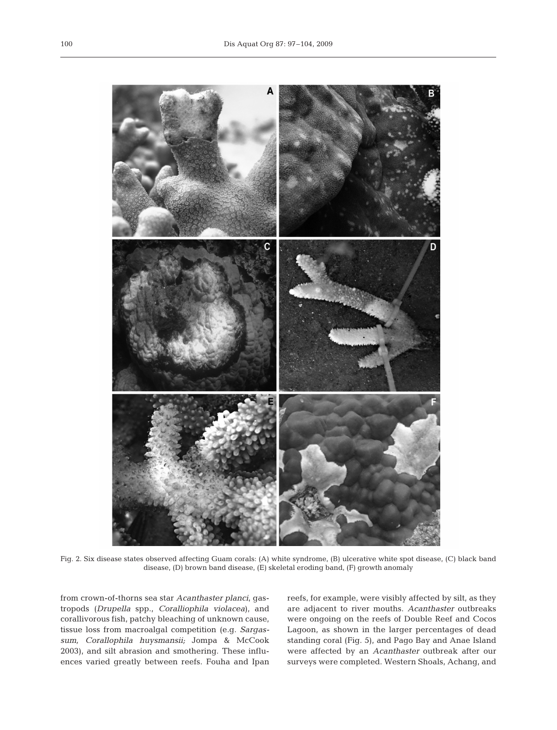

Fig. 2. Six disease states observed affecting Guam corals: (A) white syndrome, (B) ulcerative white spot disease, (C) black band disease, (D) brown band disease, (E) skeletal eroding band, (F) growth anomaly

from crown-of-thorns sea star *Acanthaster planci*, gastropods (*Drupella* spp., *Coralliophila violacea*), and corallivorous fish, patchy bleaching of unknown cause, tissue loss from macroalgal competition (e.g. *Sargassum, Corallophila huysmansii;* Jompa & McCook 2003), and silt abrasion and smothering. These influences varied greatly between reefs. Fouha and Ipan

reefs, for example, were visibly affected by silt, as they are adjacent to river mouths. *Acanthaster* outbreaks were ongoing on the reefs of Double Reef and Cocos Lagoon, as shown in the larger percentages of dead standing coral (Fig. 5), and Pago Bay and Anae Island were affected by an *Acanthaster* outbreak after our surveys were completed. Western Shoals, Achang, and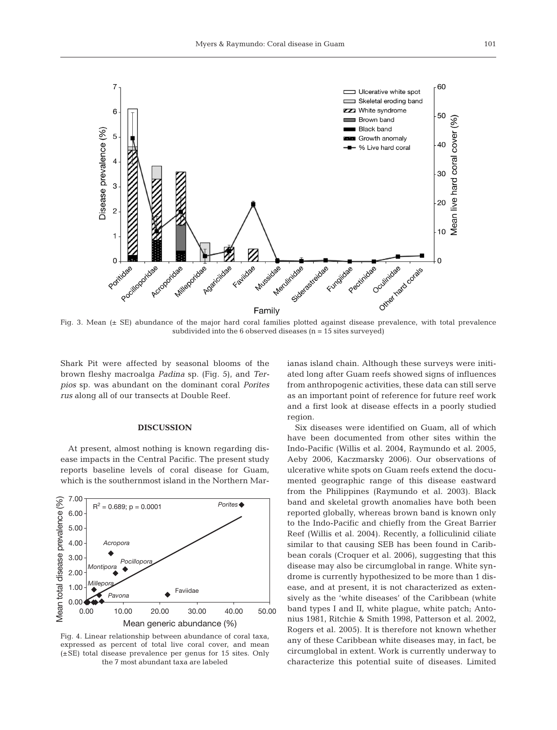

Fig. 3. Mean (± SE) abundance of the major hard coral families plotted against disease prevalence, with total prevalence subdivided into the  $6$  observed diseases ( $n = 15$  sites surveyed)

Shark Pit were affected by seasonal blooms of the brown fleshy macroalga *Padina* sp. (Fig. 5), and *Terpios* sp. was abundant on the dominant coral *Porites rus* along all of our transects at Double Reef.

### **DISCUSSION**

At present, almost nothing is known regarding disease impacts in the Central Pacific. The present study reports baseline levels of coral disease for Guam, which is the southernmost island in the Northern Mar-



Fig. 4. Linear relationship between abundance of coral taxa, expressed as percent of total live coral cover, and mean (±SE) total disease prevalence per genus for 15 sites. Only the 7 most abundant taxa are labeled

ianas island chain. Although these surveys were initiated long after Guam reefs showed signs of influences from anthropogenic activities, these data can still serve as an important point of reference for future reef work and a first look at disease effects in a poorly studied region.

Six diseases were identified on Guam, all of which have been documented from other sites within the Indo-Pacific (Willis et al. 2004, Raymundo et al. 2005, Aeby 2006, Kaczmarsky 2006). Our observations of ulcerative white spots on Guam reefs extend the documented geographic range of this disease eastward from the Philippines (Raymundo et al. 2003). Black band and skeletal growth anomalies have both been reported globally, whereas brown band is known only to the Indo-Pacific and chiefly from the Great Barrier Reef (Willis et al. 2004). Recently, a folliculinid ciliate similar to that causing SEB has been found in Caribbean corals (Croquer et al. 2006), suggesting that this disease may also be circumglobal in range. White syndrome is currently hypothesized to be more than 1 disease, and at present, it is not characterized as extensively as the 'white diseases' of the Caribbean (white band types I and II, white plague, white patch; Antonius 1981, Ritchie & Smith 1998, Patterson et al. 2002, Rogers et al. 2005). It is therefore not known whether any of these Caribbean white diseases may, in fact, be circumglobal in extent. Work is currently underway to characterize this potential suite of diseases. Limited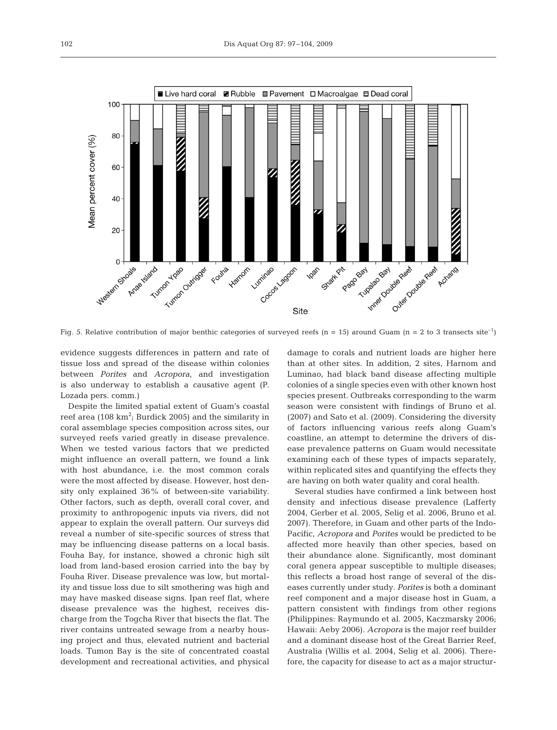

Fig. 5. Relative contribution of major benthic categories of surveyed reefs (n = 15) around Guam (n = 2 to 3 transects site<sup>-1</sup>)

evidence suggests differences in pattern and rate of tissue loss and spread of the disease within colonies between *Porites* and *Acropora*, and investigation is also underway to establish a causative agent (P. Lozada pers. comm.)

Despite the limited spatial extent of Guam's coastal reef area (108  $\rm km^2$ ; Burdick 2005) and the similarity in coral assemblage species composition across sites, our surveyed reefs varied greatly in disease prevalence. When we tested various factors that we predicted might influence an overall pattern, we found a link with host abundance, i.e. the most common corals were the most affected by disease. However, host density only explained 36% of between-site variability. Other factors, such as depth, overall coral cover, and proximity to anthropogenic inputs via rivers, did not appear to explain the overall pattern. Our surveys did reveal a number of site-specific sources of stress that may be influencing disease patterns on a local basis. Fouha Bay, for instance, showed a chronic high silt load from land-based erosion carried into the bay by Fouha River. Disease prevalence was low, but mortality and tissue loss due to silt smothering was high and may have masked disease signs. Ipan reef flat, where disease prevalence was the highest, receives discharge from the Togcha River that bisects the flat. The river contains untreated sewage from a nearby housing project and thus, elevated nutrient and bacterial loads. Tumon Bay is the site of concentrated coastal development and recreational activities, and physical

damage to corals and nutrient loads are higher here than at other sites. In addition, 2 sites, Harnom and Luminao, had black band disease affecting multiple colonies of a single species even with other known host species present. Outbreaks corresponding to the warm season were consistent with findings of Bruno et al. (2007) and Sato et al. (2009). Considering the diversity of factors influencing various reefs along Guam's coastline, an attempt to determine the drivers of disease prevalence patterns on Guam would necessitate examining each of these types of impacts separately, within replicated sites and quantifying the effects they are having on both water quality and coral health.

Several studies have confirmed a link between host density and infectious disease prevalence (Lafferty 2004, Gerber et al. 2005, Selig et al. 2006, Bruno et al. 2007). Therefore, in Guam and other parts of the Indo-Pacific, *Acropora* and *Porites* would be predicted to be affected more heavily than other species, based on their abundance alone. Significantly, most dominant coral genera appear susceptible to multiple diseases; this reflects a broad host range of several of the diseases currently under study. *Porites* is both a dominant reef component and a major disease host in Guam, a pattern consistent with findings from other regions (Philippines: Raymundo et al. 2005, Kaczmarsky 2006; Hawaii: Aeby 2006). *Acropora* is the major reef builder and a dominant disease host of the Great Barrier Reef, Australia (Willis et al. 2004, Selig et al. 2006). Therefore, the capacity for disease to act as a major structur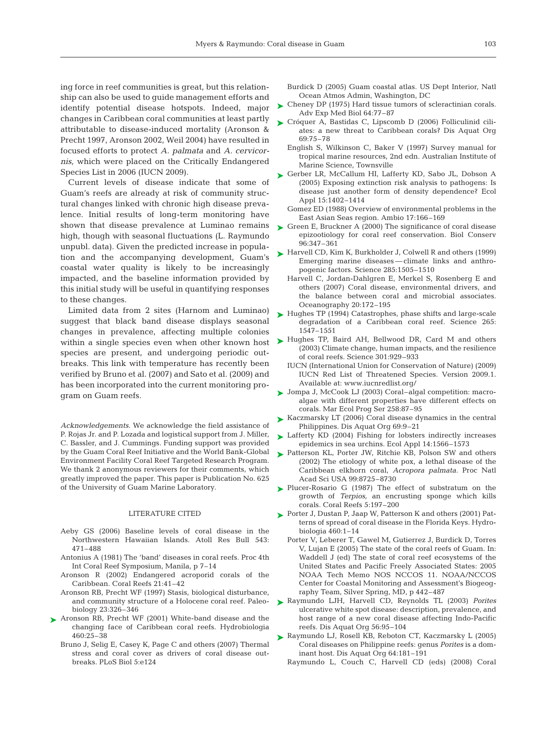ing force in reef communities is great, but this relationship can also be used to guide management efforts and identify potential disease hotspots. Indeed, major changes in Caribbean coral communities at least partly attributable to disease-induced mortality (Aronson & Precht 1997, Aronson 2002, Weil 2004) have resulted in focused efforts to protect *A. palmata* and *A. cervicornis,* which were placed on the Critically Endangered Species List in 2006 (IUCN 2009).

Current levels of disease indicate that some of Guam's reefs are already at risk of community structural changes linked with chronic high disease prevalence. Initial results of long-term monitoring have shown that disease prevalence at Luminao remains high, though with seasonal fluctuations (L. Raymundo unpubl. data). Given the predicted increase in population and the accompanying development, Guam's coastal water quality is likely to be increasingly impacted, and the baseline information provided by this initial study will be useful in quantifying responses to these changes.

Limited data from 2 sites (Harnom and Luminao) suggest that black band disease displays seasonal changes in prevalence, affecting multiple colonies within a single species even when other known host species are present, and undergoing periodic outbreaks. This link with temperature has recently been verified by Bruno et al. (2007) and Sato et al. (2009) and has been incorporated into the current monitoring program on Guam reefs.

*Acknowledgements.* We acknowledge the field assistance of P. Rojas Jr. and P. Lozada and logistical support from J. Miller, C. Bassler, and J. Cummings. Funding support was provided by the Guam Coral Reef Initiative and the World Bank-Global Environment Facility Coral Reef Targeted Research Program. We thank 2 anonymous reviewers for their comments, which greatly improved the paper. This paper is Publication No. 625 of the University of Guam Marine Laboratory.

## LITERATURE CITED

- Aeby GS (2006) Baseline levels of coral disease in the Northwestern Hawaiian Islands. Atoll Res Bull 543: 471–488
- Antonius A (1981) The 'band' diseases in coral reefs. Proc 4th Int Coral Reef Symposium, Manila, p 7–14
- Aronson R (2002) Endangered acroporid corals of the Caribbean. Coral Reefs 21:41–42
- Aronson RB, Precht WF (1997) Stasis, biological disturbance, and community structure of a Holocene coral reef. Paleobiology 23:326–346
- ▶ Aronson RB, Precht WF (2001) White-band disease and the changing face of Caribbean coral reefs. Hydrobiologia 460:25–38
	- Bruno J, Selig E, Casey K, Page C and others (2007) Thermal stress and coral cover as drivers of coral disease outbreaks. PLoS Biol 5:e124
- Burdick D (2005) Guam coastal atlas. US Dept Interior, Natl Ocean Atmos Admin, Washington, DC
- Cheney DP (1975) Hard tissue tumors of scleractinian corals. Adv Exp Med Biol 64:77–87 ➤
- ► Cróquer A, Bastidas C, Lipscomb D (2006) Folliculinid ciliates: a new threat to Caribbean corals? Dis Aquat Org 69:75–78
	- English S, Wilkinson C, Baker V (1997) Survey manual for tropical marine resources, 2nd edn. Australian Institute of Marine Science, Townsville
- ► Gerber LR, McCallum HI, Lafferty KD, Sabo JL, Dobson A (2005) Exposing extinction risk analysis to pathogens: Is disease just another form of density dependence? Ecol Appl 15:1402–1414
	- Gomez ED (1988) Overview of environmental problems in the East Asian Seas region. Ambio 17:166–169
- ► Green E, Bruckner A (2000) The significance of coral disease epizootiology for coral reef conservation. Biol Conserv 96:347–361
- ► Harvell CD, Kim K, Burkholder J, Colwell R and others (1999) Emerging marine diseases — climate links and anthropogenic factors. Science 285:1505–1510
	- Harvell C, Jordan-Dahlgren E, Merkel S, Rosenberg E and others (2007) Coral disease, environmental drivers, and the balance between coral and microbial associates. Oceanography 20:172–195
- ► Hughes TP (1994) Catastrophes, phase shifts and large-scale degradation of a Caribbean coral reef. Science 265: 1547–1551
- ▶ Hughes TP, Baird AH, Bellwood DR, Card M and others (2003) Climate change, human impacts, and the resilience of coral reefs. Science 301:929–933
	- IUCN (International Union for Conservation of Nature) (2009) IUCN Red List of Threatened Species. Version 2009.1. Available at: www.iucnredlist.org/
- ► Jompa J, McCook LJ (2003) Coral–algal competition: macroalgae with different properties have different effects on corals. Mar Ecol Prog Ser 258:87–95
- ► Kaczmarsky LT (2006) Coral disease dynamics in the central Philippines. Dis Aquat Org 69:9–21
- ► Lafferty KD (2004) Fishing for lobsters indirectly increases epidemics in sea urchins. Ecol Appl 14:1566–1573
- ▶ Patterson KL, Porter JW, Ritchie KB, Polson SW and others (2002) The etiology of white pox, a lethal disease of the Caribbean elkhorn coral, *Acropora palmata.* Proc Natl Acad Sci USA 99:8725–8730
- ▶ Plucer-Rosario G (1987) The effect of substratum on the growth of *Terpios,* an encrusting sponge which kills corals. Coral Reefs 5:197–200
- ► Porter J, Dustan P, Jaap W, Patterson K and others (2001) Patterns of spread of coral disease in the Florida Keys. Hydrobiologia 460:1–14
	- Porter V, Leberer T, Gawel M, Gutierrez J, Burdick D, Torres V, Lujan E (2005) The state of the coral reefs of Guam. In: Waddell J (ed) The state of coral reef ecosystems of the United States and Pacific Freely Associated States: 2005 NOAA Tech Memo NOS NCCOS 11. NOAA/NCCOS Center for Coastal Monitoring and Assessment's Biogeography Team, Silver Spring, MD, p 442–487
- Raymundo LJH, Harvell CD, Reynolds TL (2003) *Porites* ➤ ulcerative white spot disease: description, prevalence, and host range of a new coral disease affecting Indo-Pacific reefs. Dis Aquat Org 56:95–104
- ► Raymundo LJ, Rosell KB, Reboton CT, Kaczmarsky L (2005) Coral diseases on Philippine reefs: genus *Porites* is a dominant host. Dis Aquat Org 64:181–191
	- Raymundo L, Couch C, Harvell CD (eds) (2008) Coral